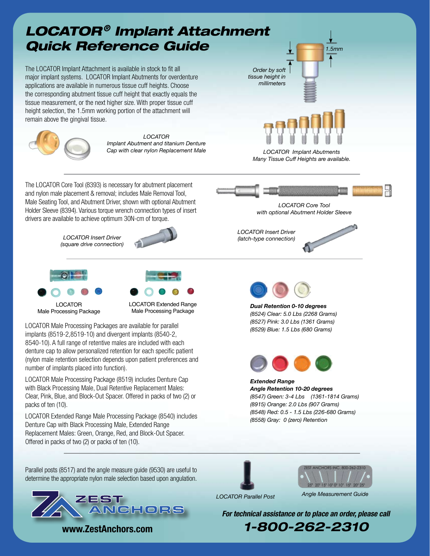

ZEST ANCHORS

**www.ZestAnchors.com**

*For technical assistance or to place an order, please call*

*1-800-262-2310*